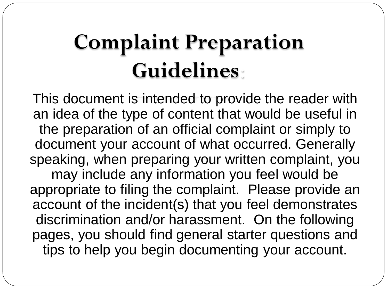## **Complaint Preparation Guidelines**:

This document is intended to provide the reader with an idea of the type of content that would be useful in the preparation of an official complaint or simply to document your account of what occurred. Generally speaking, when preparing your written complaint, you may include any information you feel would be appropriate to filing the complaint. Please provide an account of the incident(s) that you feel demonstrates discrimination and/or harassment. On the following pages, you should find general starter questions and tips to help you begin documenting your account.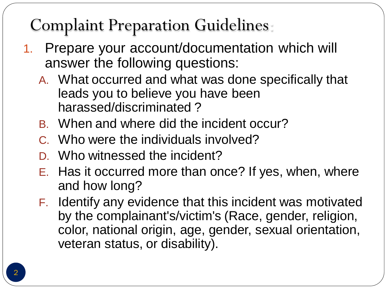## Complaint Preparation Guidelines:

- 1. Prepare your account/documentation which will answer the following questions:
	- A. What occurred and what was done specifically that leads you to believe you have been harassed/discriminated ?
	- B. When and where did the incident occur?
	- C. Who were the individuals involved?
	- D. Who witnessed the incident?
	- E. Has it occurred more than once? If yes, when, where and how long?
	- F. Identify any evidence that this incident was motivated by the complainant's/victim's (Race, gender, religion, color, national origin, age, gender, sexual orientation, veteran status, or disability).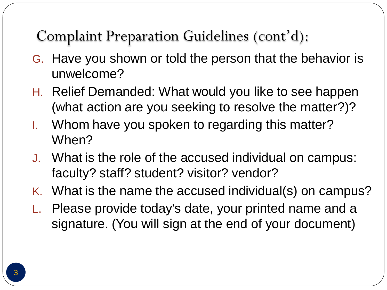Complaint Preparation Guidelines (cont'd):

- G. Have you shown or told the person that the behavior is unwelcome?
- H. Relief Demanded: What would you like to see happen (what action are you seeking to resolve the matter?)?
- I. Whom have you spoken to regarding this matter? When?
- J. What is the role of the accused individual on campus: faculty? staff? student? visitor? vendor?
- K. What is the name the accused individual(s) on campus?
- L. Please provide today's date, your printed name and a signature. (You will sign at the end of your document)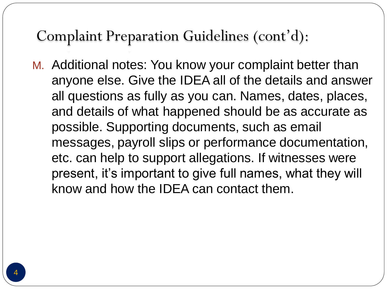## Complaint Preparation Guidelines (cont'd):

M. Additional notes: You know your complaint better than anyone else. Give the IDEA all of the details and answer all questions as fully as you can. Names, dates, places, and details of what happened should be as accurate as possible. Supporting documents, such as email messages, payroll slips or performance documentation, etc. can help to support allegations. If witnesses were present, it's important to give full names, what they will know and how the IDEA can contact them.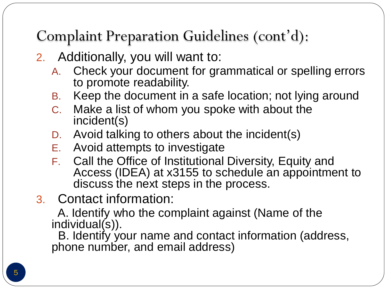Complaint Preparation Guidelines (cont'd):

- 2. Additionally, you will want to:
	- A. Check your document for grammatical or spelling errors to promote readability.
	- B. Keep the document in a safe location; not lying around
	- C. Make a list of whom you spoke with about the incident(s)
	- D. Avoid talking to others about the incident(s)
	- E. Avoid attempts to investigate
	- F. Call the Office of Institutional Diversity, Equity and Access (IDEA) at x3155 to schedule an appointment to discuss the next steps in the process.
- 3. Contact information:

A. Identify who the complaint against (Name of the individual(s)).

B. Identify your name and contact information (address, phone number, and email address)